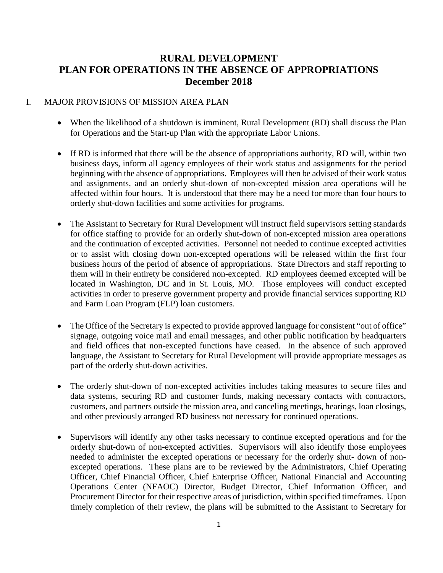## **RURAL DEVELOPMENT PLAN FOR OPERATIONS IN THE ABSENCE OF APPROPRIATIONS December 2018**

#### I. MAJOR PROVISIONS OF MISSION AREA PLAN

- When the likelihood of a shutdown is imminent, Rural Development (RD) shall discuss the Plan for Operations and the Start-up Plan with the appropriate Labor Unions.
- If RD is informed that there will be the absence of appropriations authority, RD will, within two business days, inform all agency employees of their work status and assignments for the period beginning with the absence of appropriations. Employees will then be advised of their work status and assignments, and an orderly shut-down of non-excepted mission area operations will be affected within four hours. It is understood that there may be a need for more than four hours to orderly shut-down facilities and some activities for programs.
- The Assistant to Secretary for Rural Development will instruct field supervisors setting standards for office staffing to provide for an orderly shut-down of non-excepted mission area operations and the continuation of excepted activities. Personnel not needed to continue excepted activities or to assist with closing down non-excepted operations will be released within the first four business hours of the period of absence of appropriations. State Directors and staff reporting to them will in their entirety be considered non-excepted. RD employees deemed excepted will be located in Washington, DC and in St. Louis, MO. Those employees will conduct excepted activities in order to preserve government property and provide financial services supporting RD and Farm Loan Program (FLP) loan customers.
- The Office of the Secretary is expected to provide approved language for consistent "out of office" signage, outgoing voice mail and email messages, and other public notification by headquarters and field offices that non-excepted functions have ceased. In the absence of such approved language, the Assistant to Secretary for Rural Development will provide appropriate messages as part of the orderly shut-down activities.
- The orderly shut-down of non-excepted activities includes taking measures to secure files and data systems, securing RD and customer funds, making necessary contacts with contractors, customers, and partners outside the mission area, and canceling meetings, hearings, loan closings, and other previously arranged RD business not necessary for continued operations.
- Supervisors will identify any other tasks necessary to continue excepted operations and for the orderly shut-down of non-excepted activities. Supervisors will also identify those employees needed to administer the excepted operations or necessary for the orderly shut- down of nonexcepted operations. These plans are to be reviewed by the Administrators, Chief Operating Officer, Chief Financial Officer, Chief Enterprise Officer, National Financial and Accounting Operations Center (NFAOC) Director, Budget Director, Chief Information Officer, and Procurement Director for their respective areas of jurisdiction, within specified timeframes. Upon timely completion of their review, the plans will be submitted to the Assistant to Secretary for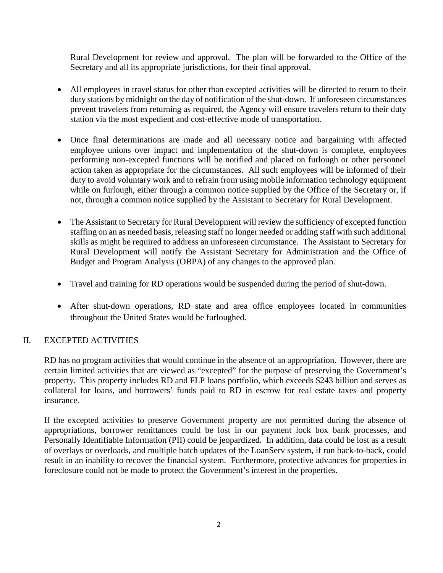Rural Development for review and approval. The plan will be forwarded to the Office of the Secretary and all its appropriate jurisdictions, for their final approval.

- All employees in travel status for other than excepted activities will be directed to return to their duty stations by midnight on the day of notification of the shut-down. If unforeseen circumstances prevent travelers from returning as required, the Agency will ensure travelers return to their duty station via the most expedient and cost-effective mode of transportation.
- Once final determinations are made and all necessary notice and bargaining with affected employee unions over impact and implementation of the shut-down is complete, employees performing non-excepted functions will be notified and placed on furlough or other personnel action taken as appropriate for the circumstances. All such employees will be informed of their duty to avoid voluntary work and to refrain from using mobile information technology equipment while on furlough, either through a common notice supplied by the Office of the Secretary or, if not, through a common notice supplied by the Assistant to Secretary for Rural Development.
- The Assistant to Secretary for Rural Development will review the sufficiency of excepted function staffing on an as needed basis, releasing staff no longer needed or adding staff with such additional skills as might be required to address an unforeseen circumstance. The Assistant to Secretary for Rural Development will notify the Assistant Secretary for Administration and the Office of Budget and Program Analysis (OBPA) of any changes to the approved plan.
- Travel and training for RD operations would be suspended during the period of shut-down.
- After shut-down operations, RD state and area office employees located in communities throughout the United States would be furloughed.

## II. EXCEPTED ACTIVITIES

RD has no program activities that would continue in the absence of an appropriation. However, there are certain limited activities that are viewed as "excepted" for the purpose of preserving the Government's property. This property includes RD and FLP loans portfolio, which exceeds \$243 billion and serves as collateral for loans, and borrowers' funds paid to RD in escrow for real estate taxes and property insurance.

If the excepted activities to preserve Government property are not permitted during the absence of appropriations, borrower remittances could be lost in our payment lock box bank processes, and Personally Identifiable Information (PII) could be jeopardized. In addition, data could be lost as a result of overlays or overloads, and multiple batch updates of the LoanServ system, if run back-to-back, could result in an inability to recover the financial system. Furthermore, protective advances for properties in foreclosure could not be made to protect the Government's interest in the properties.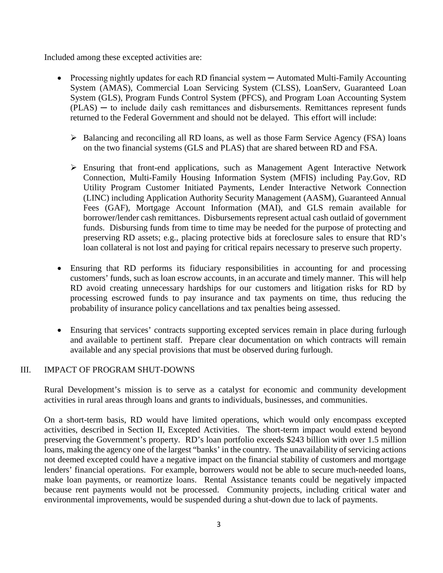Included among these excepted activities are:

- Processing nightly updates for each RD financial system Automated Multi-Family Accounting System (AMAS), Commercial Loan Servicing System (CLSS), LoanServ, Guaranteed Loan System (GLS), Program Funds Control System (PFCS), and Program Loan Accounting System (PLAS) ─ to include daily cash remittances and disbursements. Remittances represent funds returned to the Federal Government and should not be delayed. This effort will include:
	- Balancing and reconciling all RD loans, as well as those Farm Service Agency (FSA) loans on the two financial systems (GLS and PLAS) that are shared between RD and FSA.
	- Ensuring that front-end applications, such as Management Agent Interactive Network Connection, Multi-Family Housing Information System (MFIS) including Pay.Gov, RD Utility Program Customer Initiated Payments, Lender Interactive Network Connection (LINC) including Application Authority Security Management (AASM), Guaranteed Annual Fees (GAF), Mortgage Account Information (MAI), and GLS remain available for borrower/lender cash remittances. Disbursements represent actual cash outlaid of government funds. Disbursing funds from time to time may be needed for the purpose of protecting and preserving RD assets; e.g., placing protective bids at foreclosure sales to ensure that RD's loan collateral is not lost and paying for critical repairs necessary to preserve such property.
- Ensuring that RD performs its fiduciary responsibilities in accounting for and processing customers' funds, such as loan escrow accounts, in an accurate and timely manner. This will help RD avoid creating unnecessary hardships for our customers and litigation risks for RD by processing escrowed funds to pay insurance and tax payments on time, thus reducing the probability of insurance policy cancellations and tax penalties being assessed.
- Ensuring that services' contracts supporting excepted services remain in place during furlough and available to pertinent staff. Prepare clear documentation on which contracts will remain available and any special provisions that must be observed during furlough.

#### III. IMPACT OF PROGRAM SHUT-DOWNS

Rural Development's mission is to serve as a catalyst for economic and community development activities in rural areas through loans and grants to individuals, businesses, and communities.

On a short-term basis, RD would have limited operations, which would only encompass excepted activities, described in Section II, Excepted Activities. The short-term impact would extend beyond preserving the Government's property. RD's loan portfolio exceeds \$243 billion with over 1.5 million loans, making the agency one of the largest "banks' in the country. The unavailability of servicing actions not deemed excepted could have a negative impact on the financial stability of customers and mortgage lenders' financial operations. For example, borrowers would not be able to secure much-needed loans, make loan payments, or reamortize loans. Rental Assistance tenants could be negatively impacted because rent payments would not be processed. Community projects, including critical water and environmental improvements, would be suspended during a shut-down due to lack of payments.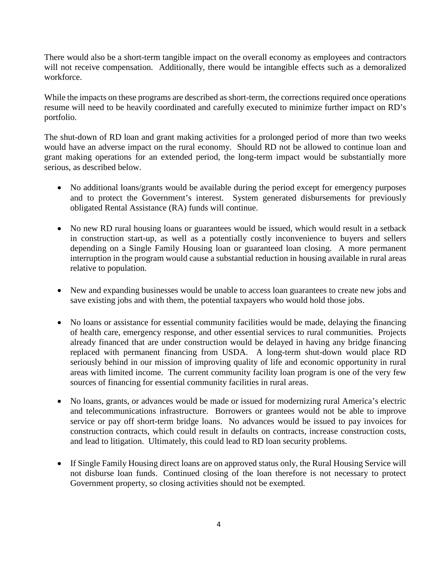There would also be a short-term tangible impact on the overall economy as employees and contractors will not receive compensation. Additionally, there would be intangible effects such as a demoralized workforce.

While the impacts on these programs are described as short-term, the corrections required once operations resume will need to be heavily coordinated and carefully executed to minimize further impact on RD's portfolio.

The shut-down of RD loan and grant making activities for a prolonged period of more than two weeks would have an adverse impact on the rural economy. Should RD not be allowed to continue loan and grant making operations for an extended period, the long-term impact would be substantially more serious, as described below.

- No additional loans/grants would be available during the period except for emergency purposes and to protect the Government's interest. System generated disbursements for previously obligated Rental Assistance (RA) funds will continue.
- No new RD rural housing loans or guarantees would be issued, which would result in a setback in construction start-up, as well as a potentially costly inconvenience to buyers and sellers depending on a Single Family Housing loan or guaranteed loan closing. A more permanent interruption in the program would cause a substantial reduction in housing available in rural areas relative to population.
- New and expanding businesses would be unable to access loan guarantees to create new jobs and save existing jobs and with them, the potential taxpayers who would hold those jobs.
- No loans or assistance for essential community facilities would be made, delaying the financing of health care, emergency response, and other essential services to rural communities. Projects already financed that are under construction would be delayed in having any bridge financing replaced with permanent financing from USDA. A long-term shut-down would place RD seriously behind in our mission of improving quality of life and economic opportunity in rural areas with limited income. The current community facility loan program is one of the very few sources of financing for essential community facilities in rural areas.
- No loans, grants, or advances would be made or issued for modernizing rural America's electric and telecommunications infrastructure. Borrowers or grantees would not be able to improve service or pay off short-term bridge loans. No advances would be issued to pay invoices for construction contracts, which could result in defaults on contracts, increase construction costs, and lead to litigation. Ultimately, this could lead to RD loan security problems.
- If Single Family Housing direct loans are on approved status only, the Rural Housing Service will not disburse loan funds. Continued closing of the loan therefore is not necessary to protect Government property, so closing activities should not be exempted.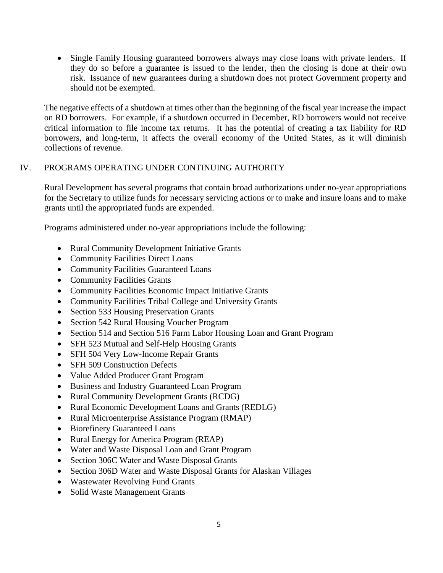• Single Family Housing guaranteed borrowers always may close loans with private lenders. If they do so before a guarantee is issued to the lender, then the closing is done at their own risk. Issuance of new guarantees during a shutdown does not protect Government property and should not be exempted.

The negative effects of a shutdown at times other than the beginning of the fiscal year increase the impact on RD borrowers. For example, if a shutdown occurred in December, RD borrowers would not receive critical information to file income tax returns. It has the potential of creating a tax liability for RD borrowers, and long-term, it affects the overall economy of the United States, as it will diminish collections of revenue.

## IV. PROGRAMS OPERATING UNDER CONTINUING AUTHORITY

Rural Development has several programs that contain broad authorizations under no-year appropriations for the Secretary to utilize funds for necessary servicing actions or to make and insure loans and to make grants until the appropriated funds are expended.

Programs administered under no-year appropriations include the following:

- Rural Community Development Initiative Grants
- Community Facilities Direct Loans
- Community Facilities Guaranteed Loans
- Community Facilities Grants
- Community Facilities Economic Impact Initiative Grants
- Community Facilities Tribal College and University Grants
- Section 533 Housing Preservation Grants
- Section 542 Rural Housing Voucher Program
- Section 514 and Section 516 Farm Labor Housing Loan and Grant Program
- SFH 523 Mutual and Self-Help Housing Grants
- SFH 504 Very Low-Income Repair Grants
- **SFH 509 Construction Defects**
- Value Added Producer Grant Program
- Business and Industry Guaranteed Loan Program
- Rural Community Development Grants (RCDG)
- Rural Economic Development Loans and Grants (REDLG)
- Rural Microenterprise Assistance Program (RMAP)
- Biorefinery Guaranteed Loans
- Rural Energy for America Program (REAP)
- Water and Waste Disposal Loan and Grant Program
- Section 306C Water and Waste Disposal Grants
- Section 306D Water and Waste Disposal Grants for Alaskan Villages
- Wastewater Revolving Fund Grants
- Solid Waste Management Grants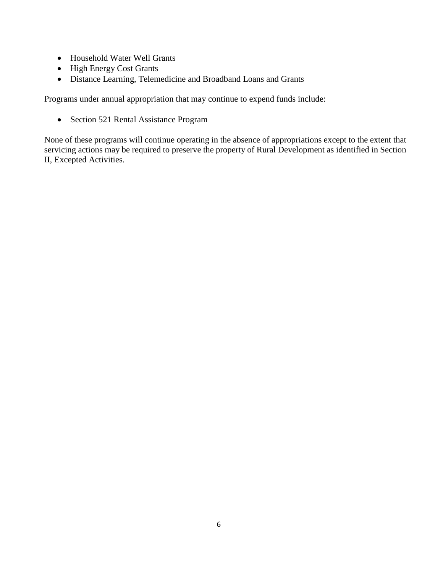- Household Water Well Grants
- High Energy Cost Grants
- Distance Learning, Telemedicine and Broadband Loans and Grants

Programs under annual appropriation that may continue to expend funds include:

• Section 521 Rental Assistance Program

None of these programs will continue operating in the absence of appropriations except to the extent that servicing actions may be required to preserve the property of Rural Development as identified in Section II, Excepted Activities.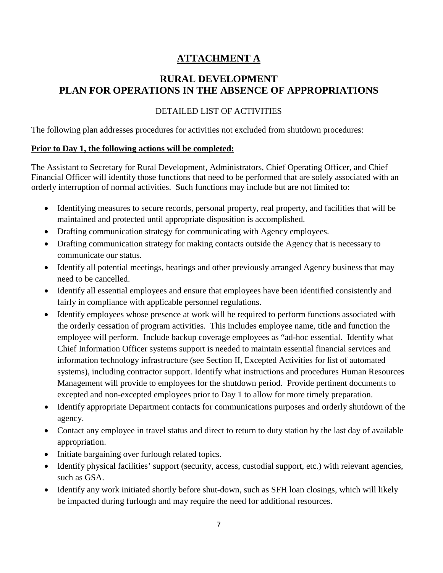# **ATTACHMENT A**

## **RURAL DEVELOPMENT PLAN FOR OPERATIONS IN THE ABSENCE OF APPROPRIATIONS**

## DETAILED LIST OF ACTIVITIES

The following plan addresses procedures for activities not excluded from shutdown procedures:

#### **Prior to Day 1, the following actions will be completed:**

The Assistant to Secretary for Rural Development, Administrators, Chief Operating Officer, and Chief Financial Officer will identify those functions that need to be performed that are solely associated with an orderly interruption of normal activities. Such functions may include but are not limited to:

- Identifying measures to secure records, personal property, real property, and facilities that will be maintained and protected until appropriate disposition is accomplished.
- Drafting communication strategy for communicating with Agency employees.
- Drafting communication strategy for making contacts outside the Agency that is necessary to communicate our status.
- Identify all potential meetings, hearings and other previously arranged Agency business that may need to be cancelled.
- Identify all essential employees and ensure that employees have been identified consistently and fairly in compliance with applicable personnel regulations.
- Identify employees whose presence at work will be required to perform functions associated with the orderly cessation of program activities. This includes employee name, title and function the employee will perform. Include backup coverage employees as "ad-hoc essential. Identify what Chief Information Officer systems support is needed to maintain essential financial services and information technology infrastructure (see Section II, Excepted Activities for list of automated systems), including contractor support. Identify what instructions and procedures Human Resources Management will provide to employees for the shutdown period. Provide pertinent documents to excepted and non-excepted employees prior to Day 1 to allow for more timely preparation.
- Identify appropriate Department contacts for communications purposes and orderly shutdown of the agency.
- Contact any employee in travel status and direct to return to duty station by the last day of available appropriation.
- Initiate bargaining over furlough related topics.
- Identify physical facilities' support (security, access, custodial support, etc.) with relevant agencies, such as GSA.
- Identify any work initiated shortly before shut-down, such as SFH loan closings, which will likely be impacted during furlough and may require the need for additional resources.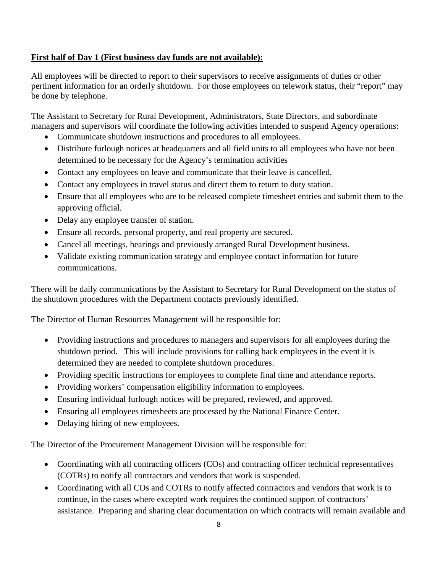## **First half of Day 1 (First business day funds are not available):**

All employees will be directed to report to their supervisors to receive assignments of duties or other pertinent information for an orderly shutdown. For those employees on telework status, their "report" may be done by telephone.

The Assistant to Secretary for Rural Development, Administrators, State Directors, and subordinate managers and supervisors will coordinate the following activities intended to suspend Agency operations:

- Communicate shutdown instructions and procedures to all employees.
- Distribute furlough notices at headquarters and all field units to all employees who have not been determined to be necessary for the Agency's termination activities
- Contact any employees on leave and communicate that their leave is cancelled.
- Contact any employees in travel status and direct them to return to duty station.
- Ensure that all employees who are to be released complete timesheet entries and submit them to the approving official.
- Delay any employee transfer of station.
- Ensure all records, personal property, and real property are secured.
- Cancel all meetings, hearings and previously arranged Rural Development business.
- Validate existing communication strategy and employee contact information for future communications.

There will be daily communications by the Assistant to Secretary for Rural Development on the status of the shutdown procedures with the Department contacts previously identified.

The Director of Human Resources Management will be responsible for:

- Providing instructions and procedures to managers and supervisors for all employees during the shutdown period. This will include provisions for calling back employees in the event it is determined they are needed to complete shutdown procedures.
- Providing specific instructions for employees to complete final time and attendance reports.
- Providing workers' compensation eligibility information to employees.
- Ensuring individual furlough notices will be prepared, reviewed, and approved.
- Ensuring all employees timesheets are processed by the National Finance Center.
- Delaying hiring of new employees.

The Director of the Procurement Management Division will be responsible for:

- Coordinating with all contracting officers (COs) and contracting officer technical representatives (COTRs) to notify all contractors and vendors that work is suspended.
- Coordinating with all COs and COTRs to notify affected contractors and vendors that work is to continue, in the cases where excepted work requires the continued support of contractors' assistance. Preparing and sharing clear documentation on which contracts will remain available and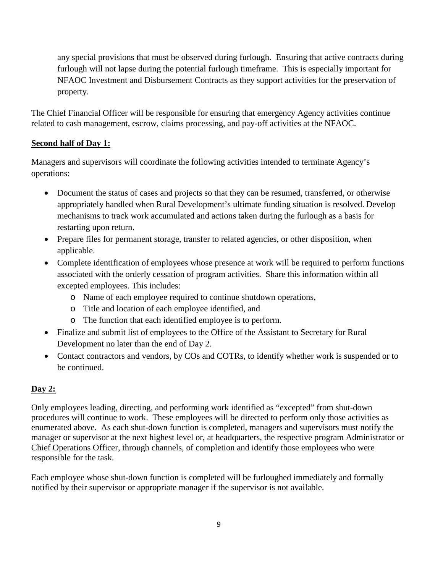any special provisions that must be observed during furlough. Ensuring that active contracts during furlough will not lapse during the potential furlough timeframe. This is especially important for NFAOC Investment and Disbursement Contracts as they support activities for the preservation of property.

The Chief Financial Officer will be responsible for ensuring that emergency Agency activities continue related to cash management, escrow, claims processing, and pay-off activities at the NFAOC.

## **Second half of Day 1:**

Managers and supervisors will coordinate the following activities intended to terminate Agency's operations:

- Document the status of cases and projects so that they can be resumed, transferred, or otherwise appropriately handled when Rural Development's ultimate funding situation is resolved. Develop mechanisms to track work accumulated and actions taken during the furlough as a basis for restarting upon return.
- Prepare files for permanent storage, transfer to related agencies, or other disposition, when applicable.
- Complete identification of employees whose presence at work will be required to perform functions associated with the orderly cessation of program activities. Share this information within all excepted employees. This includes:
	- o Name of each employee required to continue shutdown operations,
	- o Title and location of each employee identified, and
	- o The function that each identified employee is to perform.
- Finalize and submit list of employees to the Office of the Assistant to Secretary for Rural Development no later than the end of Day 2.
- Contact contractors and vendors, by COs and COTRs, to identify whether work is suspended or to be continued.

## **Day 2:**

Only employees leading, directing, and performing work identified as "excepted" from shut-down procedures will continue to work. These employees will be directed to perform only those activities as enumerated above. As each shut-down function is completed, managers and supervisors must notify the manager or supervisor at the next highest level or, at headquarters, the respective program Administrator or Chief Operations Officer, through channels, of completion and identify those employees who were responsible for the task.

Each employee whose shut-down function is completed will be furloughed immediately and formally notified by their supervisor or appropriate manager if the supervisor is not available.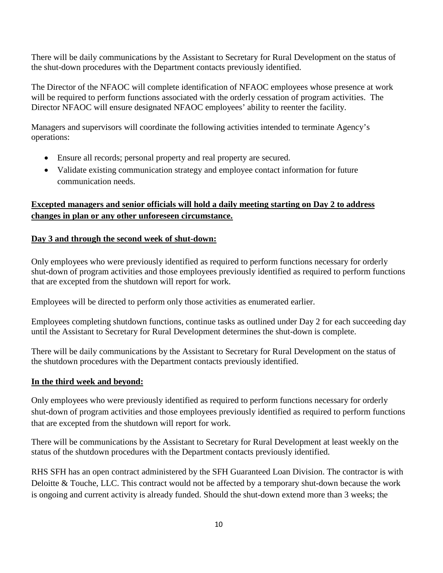There will be daily communications by the Assistant to Secretary for Rural Development on the status of the shut-down procedures with the Department contacts previously identified.

The Director of the NFAOC will complete identification of NFAOC employees whose presence at work will be required to perform functions associated with the orderly cessation of program activities. The Director NFAOC will ensure designated NFAOC employees' ability to reenter the facility.

Managers and supervisors will coordinate the following activities intended to terminate Agency's operations:

- Ensure all records; personal property and real property are secured.
- Validate existing communication strategy and employee contact information for future communication needs.

## **Excepted managers and senior officials will hold a daily meeting starting on Day 2 to address changes in plan or any other unforeseen circumstance.**

## **Day 3 and through the second week of shut-down:**

Only employees who were previously identified as required to perform functions necessary for orderly shut-down of program activities and those employees previously identified as required to perform functions that are excepted from the shutdown will report for work.

Employees will be directed to perform only those activities as enumerated earlier.

Employees completing shutdown functions, continue tasks as outlined under Day 2 for each succeeding day until the Assistant to Secretary for Rural Development determines the shut-down is complete.

There will be daily communications by the Assistant to Secretary for Rural Development on the status of the shutdown procedures with the Department contacts previously identified.

## **In the third week and beyond:**

Only employees who were previously identified as required to perform functions necessary for orderly shut-down of program activities and those employees previously identified as required to perform functions that are excepted from the shutdown will report for work.

There will be communications by the Assistant to Secretary for Rural Development at least weekly on the status of the shutdown procedures with the Department contacts previously identified.

RHS SFH has an open contract administered by the SFH Guaranteed Loan Division. The contractor is with Deloitte & Touche, LLC. This contract would not be affected by a temporary shut-down because the work is ongoing and current activity is already funded. Should the shut-down extend more than 3 weeks; the